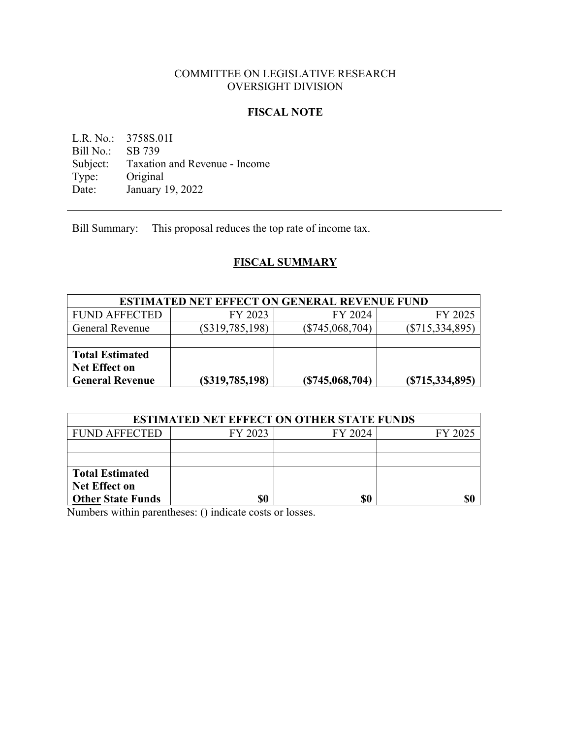# COMMITTEE ON LEGISLATIVE RESEARCH OVERSIGHT DIVISION

### **FISCAL NOTE**

L.R. No.: 3758S.01I<br>Bill No.: SB 739 Bill No.: Subject: Taxation and Revenue - Income<br>Type: Original Type: Original<br>Date: January 1 January 19, 2022

Bill Summary: This proposal reduces the top rate of income tax.

# **FISCAL SUMMARY**

| <b>ESTIMATED NET EFFECT ON GENERAL REVENUE FUND</b> |                   |                   |                   |  |
|-----------------------------------------------------|-------------------|-------------------|-------------------|--|
| <b>FUND AFFECTED</b>                                | FY 2023           | FY 2024           | FY 2025           |  |
| <b>General Revenue</b>                              | $(\$319,785,198)$ | $(\$745,068,704)$ | $(\$715,334,895)$ |  |
|                                                     |                   |                   |                   |  |
| <b>Total Estimated</b>                              |                   |                   |                   |  |
| <b>Net Effect on</b>                                |                   |                   |                   |  |
| General Revenue                                     | (S319,785,198)    | (S745,068,704)    | (S715, 334, 895)  |  |

| <b>ESTIMATED NET EFFECT ON OTHER STATE FUNDS</b> |         |         |         |  |  |
|--------------------------------------------------|---------|---------|---------|--|--|
| <b>FUND AFFECTED</b>                             | FY 2023 | FY 2024 | FY 2025 |  |  |
|                                                  |         |         |         |  |  |
|                                                  |         |         |         |  |  |
| <b>Total Estimated</b>                           |         |         |         |  |  |
| <b>Net Effect on</b>                             |         |         |         |  |  |
| <b>Other State Funds</b>                         | \$0     | S0      |         |  |  |

Numbers within parentheses: () indicate costs or losses.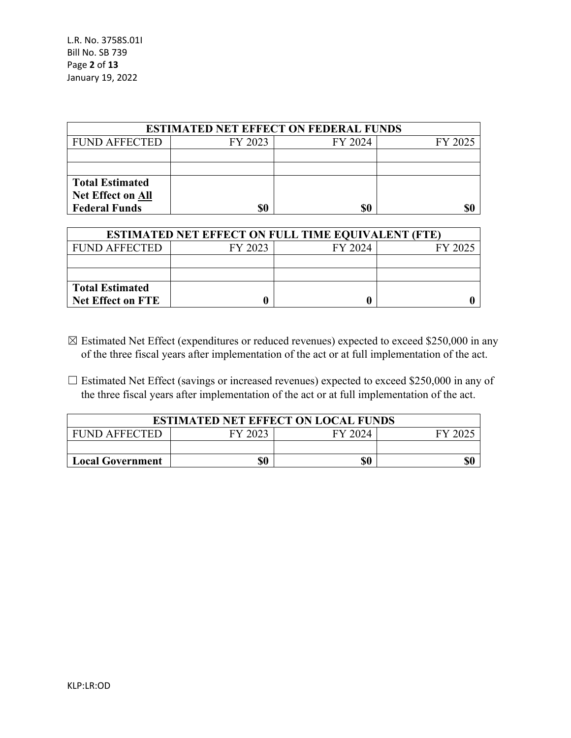L.R. No. 3758S.01I Bill No. SB 739 Page **2** of **13** January 19, 2022

| <b>ESTIMATED NET EFFECT ON FEDERAL FUNDS</b> |         |         |         |  |
|----------------------------------------------|---------|---------|---------|--|
| <b>FUND AFFECTED</b>                         | FY 2023 | FY 2024 | FY 2025 |  |
|                                              |         |         |         |  |
|                                              |         |         |         |  |
| <b>Total Estimated</b>                       |         |         |         |  |
| <b>Net Effect on All</b>                     |         |         |         |  |
| <b>Federal Funds</b>                         |         | \$0     |         |  |

| <b>ESTIMATED NET EFFECT ON FULL TIME EQUIVALENT (FTE)</b> |                               |  |  |  |
|-----------------------------------------------------------|-------------------------------|--|--|--|
| <b>FUND AFFECTED</b>                                      | FY 2023<br>FY 2024<br>FY 2025 |  |  |  |
|                                                           |                               |  |  |  |
|                                                           |                               |  |  |  |
| Total Estimated                                           |                               |  |  |  |
| <b>Net Effect on FTE</b>                                  |                               |  |  |  |

- $\boxtimes$  Estimated Net Effect (expenditures or reduced revenues) expected to exceed \$250,000 in any of the three fiscal years after implementation of the act or at full implementation of the act.
- $\Box$  Estimated Net Effect (savings or increased revenues) expected to exceed \$250,000 in any of the three fiscal years after implementation of the act or at full implementation of the act.

| <b>ESTIMATED NET EFFECT ON LOCAL FUNDS</b>   |  |  |  |  |
|----------------------------------------------|--|--|--|--|
| FUND AFFECTED                                |  |  |  |  |
|                                              |  |  |  |  |
| \$0<br>\$0<br>\$0<br><b>Local Government</b> |  |  |  |  |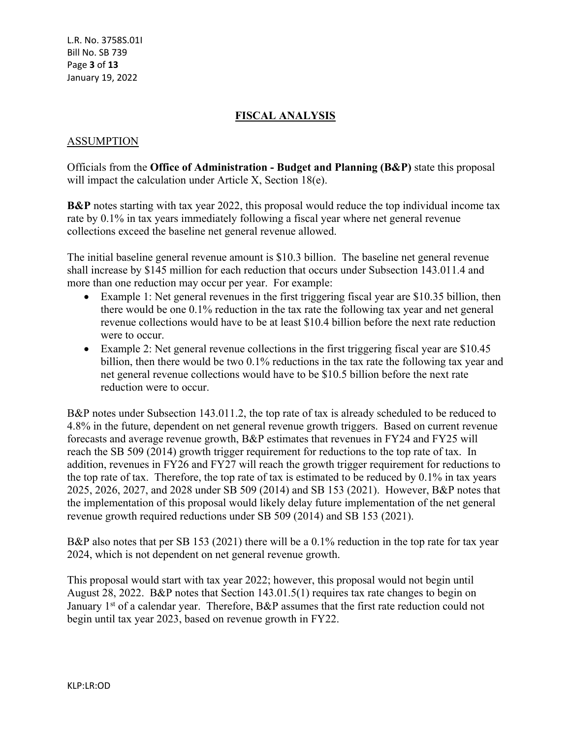# **FISCAL ANALYSIS**

### ASSUMPTION

Officials from the **Office of Administration - Budget and Planning (B&P)** state this proposal will impact the calculation under Article X, Section 18(e).

**B&P** notes starting with tax year 2022, this proposal would reduce the top individual income tax rate by 0.1% in tax years immediately following a fiscal year where net general revenue collections exceed the baseline net general revenue allowed.

The initial baseline general revenue amount is \$10.3 billion. The baseline net general revenue shall increase by \$145 million for each reduction that occurs under Subsection 143.011.4 and more than one reduction may occur per year. For example:

- Example 1: Net general revenues in the first triggering fiscal year are \$10.35 billion, then there would be one 0.1% reduction in the tax rate the following tax year and net general revenue collections would have to be at least \$10.4 billion before the next rate reduction were to occur.
- Example 2: Net general revenue collections in the first triggering fiscal year are \$10.45 billion, then there would be two 0.1% reductions in the tax rate the following tax year and net general revenue collections would have to be \$10.5 billion before the next rate reduction were to occur.

B&P notes under Subsection 143.011.2, the top rate of tax is already scheduled to be reduced to 4.8% in the future, dependent on net general revenue growth triggers. Based on current revenue forecasts and average revenue growth, B&P estimates that revenues in FY24 and FY25 will reach the SB 509 (2014) growth trigger requirement for reductions to the top rate of tax. In addition, revenues in FY26 and FY27 will reach the growth trigger requirement for reductions to the top rate of tax. Therefore, the top rate of tax is estimated to be reduced by 0.1% in tax years 2025, 2026, 2027, and 2028 under SB 509 (2014) and SB 153 (2021). However, B&P notes that the implementation of this proposal would likely delay future implementation of the net general revenue growth required reductions under SB 509 (2014) and SB 153 (2021).

B&P also notes that per SB 153 (2021) there will be a 0.1% reduction in the top rate for tax year 2024, which is not dependent on net general revenue growth.

This proposal would start with tax year 2022; however, this proposal would not begin until August 28, 2022. B&P notes that Section 143.01.5(1) requires tax rate changes to begin on January 1<sup>st</sup> of a calendar year. Therefore, B&P assumes that the first rate reduction could not begin until tax year 2023, based on revenue growth in FY22.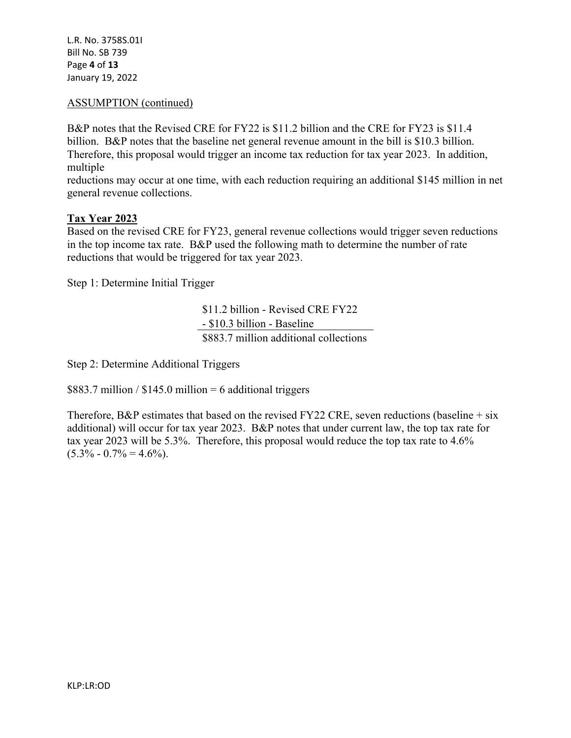L.R. No. 3758S.01I Bill No. SB 739 Page **4** of **13** January 19, 2022

### ASSUMPTION (continued)

B&P notes that the Revised CRE for FY22 is \$11.2 billion and the CRE for FY23 is \$11.4 billion. B&P notes that the baseline net general revenue amount in the bill is \$10.3 billion. Therefore, this proposal would trigger an income tax reduction for tax year 2023. In addition, multiple

reductions may occur at one time, with each reduction requiring an additional \$145 million in net general revenue collections.

#### **Tax Year 2023**

Based on the revised CRE for FY23, general revenue collections would trigger seven reductions in the top income tax rate. B&P used the following math to determine the number of rate reductions that would be triggered for tax year 2023.

Step 1: Determine Initial Trigger

\$11.2 billion - Revised CRE FY22 - \$10.3 billion - Baseline \$883.7 million additional collections

Step 2: Determine Additional Triggers

 $$883.7$  million /  $$145.0$  million = 6 additional triggers

Therefore, B&P estimates that based on the revised FY22 CRE, seven reductions (baseline  $+$  six additional) will occur for tax year 2023. B&P notes that under current law, the top tax rate for tax year 2023 will be 5.3%. Therefore, this proposal would reduce the top tax rate to 4.6%  $(5.3\% - 0.7\% = 4.6\%).$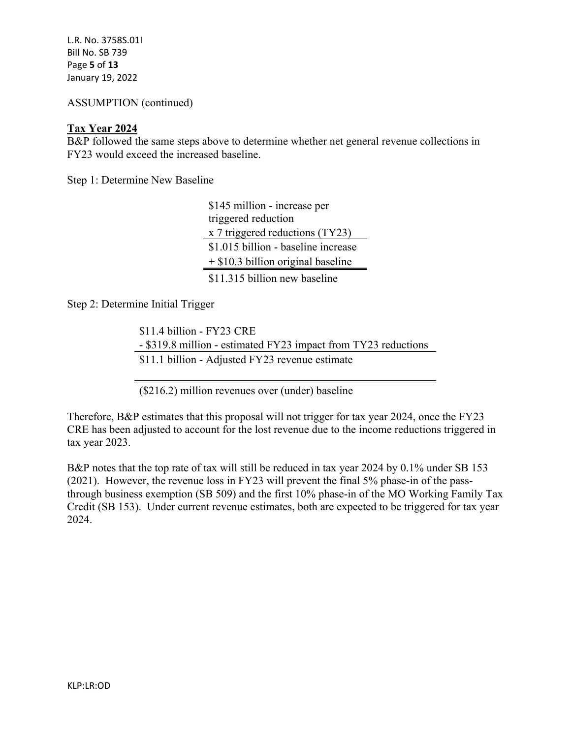L.R. No. 3758S.01I Bill No. SB 739 Page **5** of **13** January 19, 2022

#### ASSUMPTION (continued)

#### **Tax Year 2024**

B&P followed the same steps above to determine whether net general revenue collections in FY23 would exceed the increased baseline.

Step 1: Determine New Baseline

\$145 million - increase per triggered reduction x 7 triggered reductions (TY23) \$1.015 billion - baseline increase + \$10.3 billion original baseline \$11.315 billion new baseline

Step 2: Determine Initial Trigger

\$11.4 billion - FY23 CRE - \$319.8 million - estimated FY23 impact from TY23 reductions \$11.1 billion - Adjusted FY23 revenue estimate

(\$216.2) million revenues over (under) baseline

Therefore, B&P estimates that this proposal will not trigger for tax year 2024, once the FY23 CRE has been adjusted to account for the lost revenue due to the income reductions triggered in tax year 2023.

B&P notes that the top rate of tax will still be reduced in tax year 2024 by 0.1% under SB 153 (2021). However, the revenue loss in FY23 will prevent the final 5% phase-in of the passthrough business exemption (SB 509) and the first 10% phase-in of the MO Working Family Tax Credit (SB 153). Under current revenue estimates, both are expected to be triggered for tax year 2024.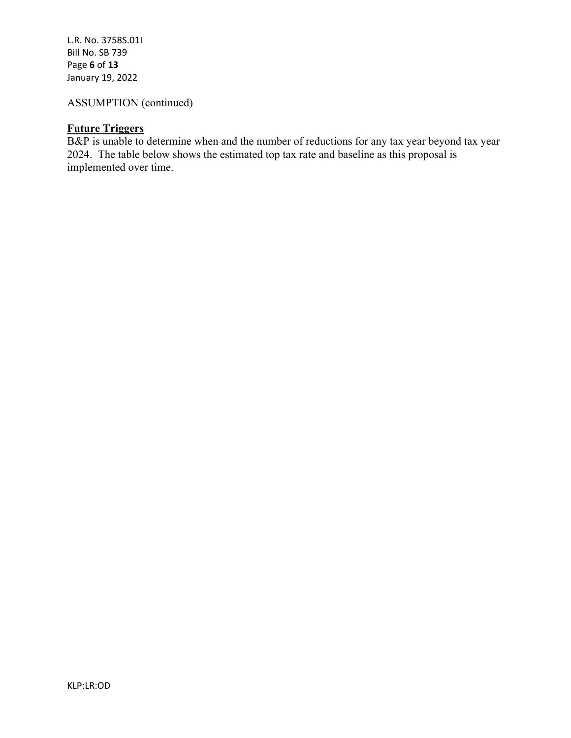L.R. No. 3758S.01I Bill No. SB 739 Page **6** of **13** January 19, 2022

# ASSUMPTION (continued)

### **Future Triggers**

B&P is unable to determine when and the number of reductions for any tax year beyond tax year 2024. The table below shows the estimated top tax rate and baseline as this proposal is implemented over time.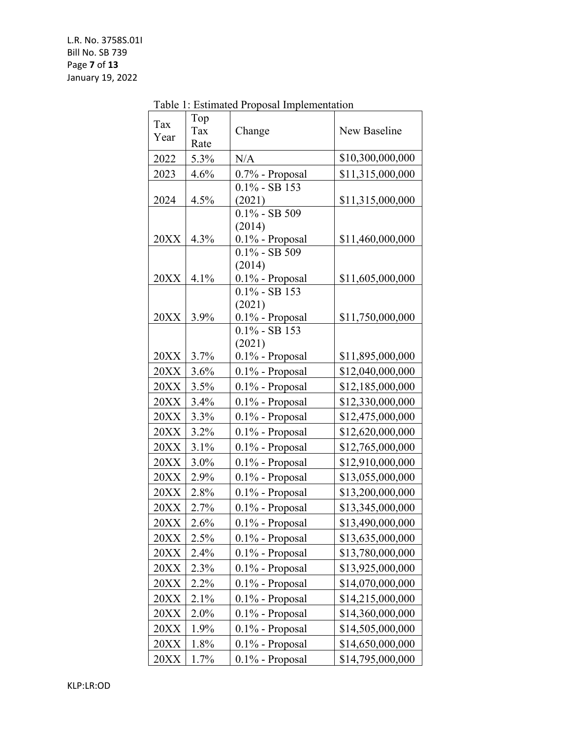|             |      | Table 1: Estimated Proposal Implementation |                  |
|-------------|------|--------------------------------------------|------------------|
| Tax         | Top  |                                            |                  |
| Year        | Tax  | Change                                     | New Baseline     |
|             | Rate |                                            |                  |
| 2022        | 5.3% | N/A                                        | \$10,300,000,000 |
| 2023        | 4.6% | 0.7% - Proposal                            | \$11,315,000,000 |
|             |      | $0.1\%$ - SB 153                           |                  |
| 2024        | 4.5% | (2021)<br>$0.1\%$ - SB 509                 | \$11,315,000,000 |
|             |      | (2014)                                     |                  |
| 20XX        | 4.3% | 0.1% - Proposal                            | \$11,460,000,000 |
|             |      | $0.1\%$ - SB 509                           |                  |
|             |      | (2014)                                     |                  |
| 20XX        | 4.1% | 0.1% - Proposal                            | \$11,605,000,000 |
|             |      | $0.1\%$ - SB 153                           |                  |
| 20XX        |      | (2021)                                     |                  |
|             | 3.9% | $0.1\%$ - Proposal<br>$0.1\%$ - SB 153     | \$11,750,000,000 |
|             |      | (2021)                                     |                  |
| 20XX        | 3.7% | $0.1\%$ - Proposal                         | \$11,895,000,000 |
| 20XX        | 3.6% | 0.1% - Proposal                            | \$12,040,000,000 |
| 20XX        | 3.5% | 0.1% - Proposal                            | \$12,185,000,000 |
| 20XX        | 3.4% | 0.1% - Proposal                            | \$12,330,000,000 |
| 20XX        | 3.3% | 0.1% - Proposal                            | \$12,475,000,000 |
| 20XX        | 3.2% | 0.1% - Proposal                            | \$12,620,000,000 |
| 20XX        | 3.1% | 0.1% - Proposal                            | \$12,765,000,000 |
| 20XX        | 3.0% | 0.1% - Proposal                            | \$12,910,000,000 |
| 20XX        | 2.9% | 0.1% - Proposal                            | \$13,055,000,000 |
| 20XX        | 2.8% | 0.1% - Proposal                            | \$13,200,000,000 |
| 20XX        | 2.7% | 0.1% - Proposal                            | \$13,345,000,000 |
| <b>20XX</b> | 2.6% | 0.1% - Proposal                            | \$13,490,000,000 |
| 20XX        | 2.5% | $0.1\%$ - Proposal                         | \$13,635,000,000 |
| 20XX        | 2.4% | 0.1% - Proposal                            | \$13,780,000,000 |
| 20XX        | 2.3% | $0.1\%$ - Proposal                         | \$13,925,000,000 |
| 20XX        | 2.2% | 0.1% - Proposal                            | \$14,070,000,000 |
| 20XX        | 2.1% | $0.1\%$ - Proposal                         | \$14,215,000,000 |
| 20XX        | 2.0% | $0.1\%$ - Proposal                         | \$14,360,000,000 |
| 20XX        | 1.9% | 0.1% - Proposal                            | \$14,505,000,000 |
| 20XX        | 1.8% | 0.1% - Proposal                            | \$14,650,000,000 |
| 20XX        | 1.7% | 0.1% - Proposal                            | \$14,795,000,000 |

Table 1: Estimated Proposal Implementation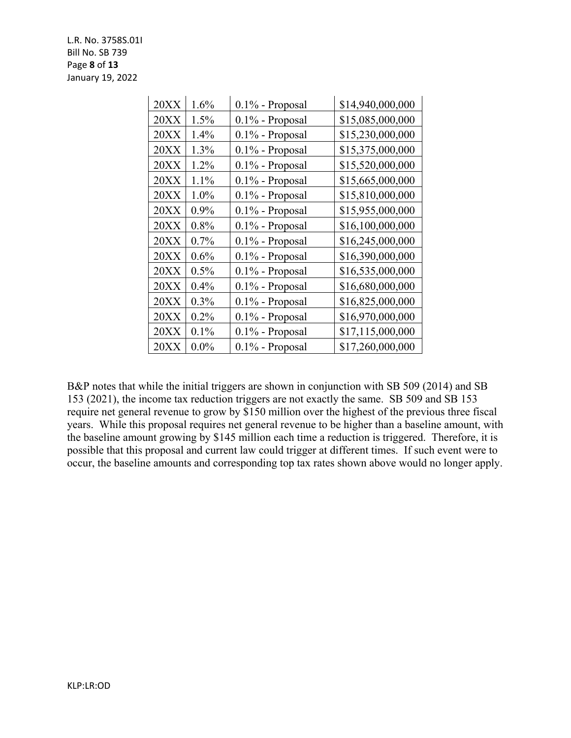L.R. No. 3758S.01I Bill No. SB 739 Page **8** of **13** January 19, 2022

| 20XX | 1.6%    | 0.1% - Proposal    | \$14,940,000,000 |
|------|---------|--------------------|------------------|
| 20XX | 1.5%    | $0.1\%$ - Proposal | \$15,085,000,000 |
| 20XX | 1.4%    | $0.1\%$ - Proposal | \$15,230,000,000 |
| 20XX | 1.3%    | 0.1% - Proposal    | \$15,375,000,000 |
| 20XX | 1.2%    | $0.1\%$ - Proposal | \$15,520,000,000 |
| 20XX | 1.1%    | $0.1\%$ - Proposal | \$15,665,000,000 |
| 20XX | 1.0%    | $0.1\%$ - Proposal | \$15,810,000,000 |
| 20XX | $0.9\%$ | $0.1\%$ - Proposal | \$15,955,000,000 |
| 20XX | 0.8%    | $0.1\%$ - Proposal | \$16,100,000,000 |
| 20XX | 0.7%    | $0.1\%$ - Proposal | \$16,245,000,000 |
| 20XX | 0.6%    | $0.1\%$ - Proposal | \$16,390,000,000 |
| 20XX | $0.5\%$ | $0.1\%$ - Proposal | \$16,535,000,000 |
| 20XX | 0.4%    | $0.1\%$ - Proposal | \$16,680,000,000 |
| 20XX | 0.3%    | $0.1\%$ - Proposal | \$16,825,000,000 |
| 20XX | 0.2%    | $0.1\%$ - Proposal | \$16,970,000,000 |
| 20XX | 0.1%    | 0.1% - Proposal    | \$17,115,000,000 |
| 20XX | $0.0\%$ | 0.1% - Proposal    | \$17,260,000,000 |

B&P notes that while the initial triggers are shown in conjunction with SB 509 (2014) and SB 153 (2021), the income tax reduction triggers are not exactly the same. SB 509 and SB 153 require net general revenue to grow by \$150 million over the highest of the previous three fiscal years. While this proposal requires net general revenue to be higher than a baseline amount, with the baseline amount growing by \$145 million each time a reduction is triggered. Therefore, it is possible that this proposal and current law could trigger at different times. If such event were to occur, the baseline amounts and corresponding top tax rates shown above would no longer apply.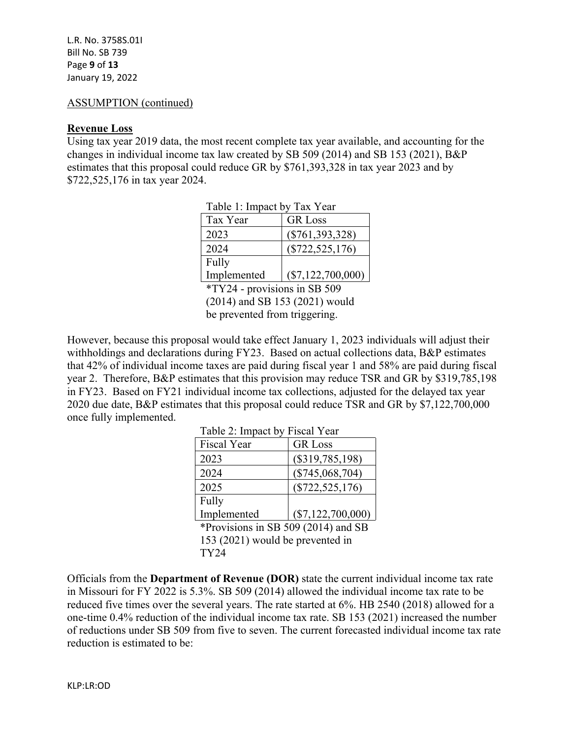#### ASSUMPTION (continued)

#### **Revenue Loss**

Using tax year 2019 data, the most recent complete tax year available, and accounting for the changes in individual income tax law created by SB 509 (2014) and SB 153 (2021), B&P estimates that this proposal could reduce GR by \$761,393,328 in tax year 2023 and by \$722,525,176 in tax year 2024.

| rable i: impact by rax rear |                     |  |  |
|-----------------------------|---------------------|--|--|
| Tax Year                    | <b>GR</b> Loss      |  |  |
| 2023                        | $(\$761,393,328)$   |  |  |
| 2024                        | $(\$722,525,176)$   |  |  |
| Fully                       |                     |  |  |
| Implemented                 | $(\$7,122,700,000)$ |  |  |

 $T = 11.1$  T  $T = 11.7$ 

\*TY24 - provisions in SB 509

(2014) and SB 153 (2021) would be prevented from triggering.

However, because this proposal would take effect January 1, 2023 individuals will adjust their withholdings and declarations during FY23. Based on actual collections data, B&P estimates that 42% of individual income taxes are paid during fiscal year 1 and 58% are paid during fiscal year 2. Therefore, B&P estimates that this provision may reduce TSR and GR by \$319,785,198 in FY23. Based on FY21 individual income tax collections, adjusted for the delayed tax year 2020 due date, B&P estimates that this proposal could reduce TSR and GR by \$7,122,700,000 once fully implemented.

Table 2: Impact by Fiscal Year

| $1$ avit $2$ . Impact by 1 focal 1 can |                     |  |  |
|----------------------------------------|---------------------|--|--|
| <b>Fiscal Year</b>                     | <b>GR</b> Loss      |  |  |
| 2023                                   | $(\$319,785,198)$   |  |  |
| 2024                                   | $(\$745,068,704)$   |  |  |
| 2025                                   | $(\$722,525,176)$   |  |  |
| Fully                                  |                     |  |  |
| Implemented                            | $(\$7,122,700,000)$ |  |  |
|                                        |                     |  |  |

\*Provisions in SB 509 (2014) and SB 153 (2021) would be prevented in TY24

Officials from the **Department of Revenue (DOR)** state the current individual income tax rate in Missouri for FY 2022 is 5.3%. SB 509 (2014) allowed the individual income tax rate to be reduced five times over the several years. The rate started at 6%. HB 2540 (2018) allowed for a one-time 0.4% reduction of the individual income tax rate. SB 153 (2021) increased the number of reductions under SB 509 from five to seven. The current forecasted individual income tax rate reduction is estimated to be: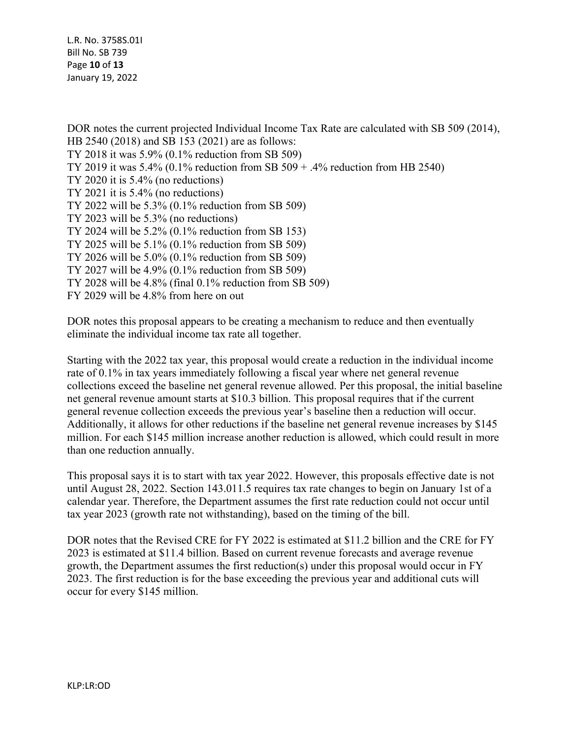L.R. No. 3758S.01I Bill No. SB 739 Page **10** of **13** January 19, 2022

DOR notes the current projected Individual Income Tax Rate are calculated with SB 509 (2014), HB 2540 (2018) and SB 153 (2021) are as follows: TY 2018 it was 5.9% (0.1% reduction from SB 509) TY 2019 it was 5.4% (0.1% reduction from SB 509 + .4% reduction from HB 2540) TY 2020 it is 5.4% (no reductions) TY 2021 it is 5.4% (no reductions) TY 2022 will be 5.3% (0.1% reduction from SB 509) TY 2023 will be 5.3% (no reductions) TY 2024 will be 5.2% (0.1% reduction from SB 153) TY 2025 will be 5.1% (0.1% reduction from SB 509) TY 2026 will be 5.0% (0.1% reduction from SB 509) TY 2027 will be 4.9% (0.1% reduction from SB 509) TY 2028 will be 4.8% (final 0.1% reduction from SB 509) FY 2029 will be 4.8% from here on out

DOR notes this proposal appears to be creating a mechanism to reduce and then eventually eliminate the individual income tax rate all together.

Starting with the 2022 tax year, this proposal would create a reduction in the individual income rate of 0.1% in tax years immediately following a fiscal year where net general revenue collections exceed the baseline net general revenue allowed. Per this proposal, the initial baseline net general revenue amount starts at \$10.3 billion. This proposal requires that if the current general revenue collection exceeds the previous year's baseline then a reduction will occur. Additionally, it allows for other reductions if the baseline net general revenue increases by \$145 million. For each \$145 million increase another reduction is allowed, which could result in more than one reduction annually.

This proposal says it is to start with tax year 2022. However, this proposals effective date is not until August 28, 2022. Section 143.011.5 requires tax rate changes to begin on January 1st of a calendar year. Therefore, the Department assumes the first rate reduction could not occur until tax year 2023 (growth rate not withstanding), based on the timing of the bill.

DOR notes that the Revised CRE for FY 2022 is estimated at \$11.2 billion and the CRE for FY 2023 is estimated at \$11.4 billion. Based on current revenue forecasts and average revenue growth, the Department assumes the first reduction(s) under this proposal would occur in FY 2023. The first reduction is for the base exceeding the previous year and additional cuts will occur for every \$145 million.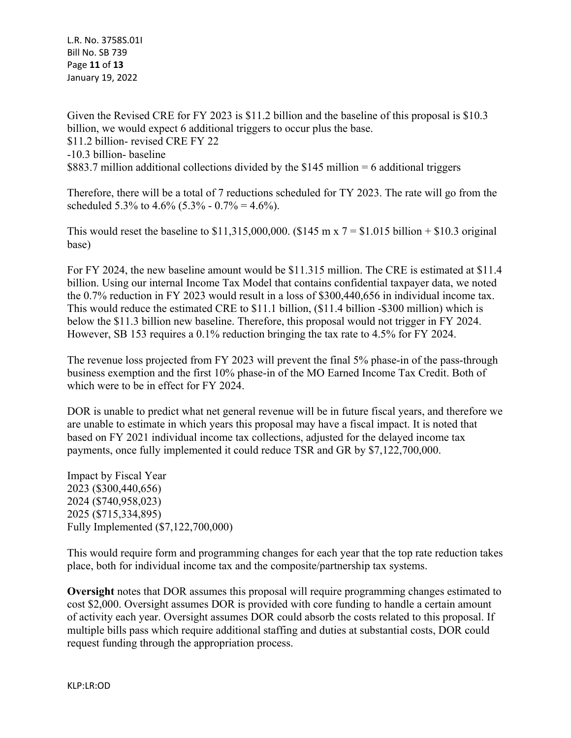L.R. No. 3758S.01I Bill No. SB 739 Page **11** of **13** January 19, 2022

Given the Revised CRE for FY 2023 is \$11.2 billion and the baseline of this proposal is \$10.3 billion, we would expect 6 additional triggers to occur plus the base. \$11.2 billion- revised CRE FY 22 -10.3 billion- baseline \$883.7 million additional collections divided by the \$145 million = 6 additional triggers

Therefore, there will be a total of 7 reductions scheduled for TY 2023. The rate will go from the scheduled 5.3% to 4.6% (5.3% - 0.7% = 4.6%).

This would reset the baseline to \$11,315,000,000. (\$145 m x  $7 = $1.015$  billion + \$10.3 original base)

For FY 2024, the new baseline amount would be \$11.315 million. The CRE is estimated at \$11.4 billion. Using our internal Income Tax Model that contains confidential taxpayer data, we noted the 0.7% reduction in FY 2023 would result in a loss of \$300,440,656 in individual income tax. This would reduce the estimated CRE to \$11.1 billion, (\$11.4 billion -\$300 million) which is below the \$11.3 billion new baseline. Therefore, this proposal would not trigger in FY 2024. However, SB 153 requires a 0.1% reduction bringing the tax rate to 4.5% for FY 2024.

The revenue loss projected from FY 2023 will prevent the final 5% phase-in of the pass-through business exemption and the first 10% phase-in of the MO Earned Income Tax Credit. Both of which were to be in effect for FY 2024.

DOR is unable to predict what net general revenue will be in future fiscal years, and therefore we are unable to estimate in which years this proposal may have a fiscal impact. It is noted that based on FY 2021 individual income tax collections, adjusted for the delayed income tax payments, once fully implemented it could reduce TSR and GR by \$7,122,700,000.

Impact by Fiscal Year 2023 (\$300,440,656) 2024 (\$740,958,023) 2025 (\$715,334,895) Fully Implemented (\$7,122,700,000)

This would require form and programming changes for each year that the top rate reduction takes place, both for individual income tax and the composite/partnership tax systems.

**Oversight** notes that DOR assumes this proposal will require programming changes estimated to cost \$2,000. Oversight assumes DOR is provided with core funding to handle a certain amount of activity each year. Oversight assumes DOR could absorb the costs related to this proposal. If multiple bills pass which require additional staffing and duties at substantial costs, DOR could request funding through the appropriation process.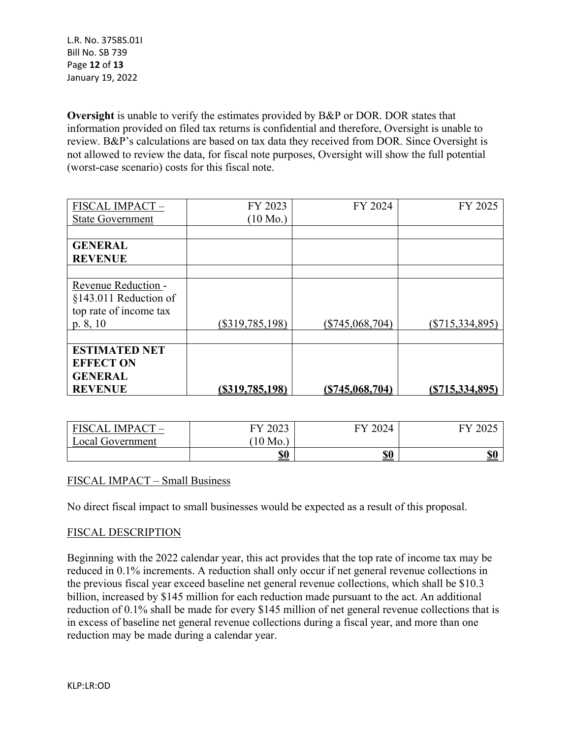L.R. No. 3758S.01I Bill No. SB 739 Page **12** of **13** January 19, 2022

**Oversight** is unable to verify the estimates provided by B&P or DOR. DOR states that information provided on filed tax returns is confidential and therefore, Oversight is unable to review. B&P's calculations are based on tax data they received from DOR. Since Oversight is not allowed to review the data, for fiscal note purposes, Oversight will show the full potential (worst-case scenario) costs for this fiscal note.

| FISCAL IMPACT-          | FY 2023            | FY 2024           | FY 2025           |
|-------------------------|--------------------|-------------------|-------------------|
| <b>State Government</b> | $(10 \text{ Mo.})$ |                   |                   |
|                         |                    |                   |                   |
| <b>GENERAL</b>          |                    |                   |                   |
| <b>REVENUE</b>          |                    |                   |                   |
|                         |                    |                   |                   |
| Revenue Reduction -     |                    |                   |                   |
| §143.011 Reduction of   |                    |                   |                   |
| top rate of income tax  |                    |                   |                   |
| p. 8, 10                | $(\$319,785,198)$  | $(\$745,068,704)$ | $(\$715,334,895)$ |
|                         |                    |                   |                   |
| <b>ESTIMATED NET</b>    |                    |                   |                   |
| <b>EFFECT ON</b>        |                    |                   |                   |
| <b>GENERAL</b>          |                    |                   |                   |
| <b>REVENUE</b>          | (S319,785,198)     | (S745,068,704)    | (S715, 334, 895)  |

| FISCAL IMPACT -  | 2023<br>FV | 2024<br>FV | ZUZJ       |
|------------------|------------|------------|------------|
| Local Government | $10$ Mo.   |            |            |
|                  | <u>\$0</u> | <u>\$0</u> | <b>\$0</b> |

### FISCAL IMPACT – Small Business

No direct fiscal impact to small businesses would be expected as a result of this proposal.

#### FISCAL DESCRIPTION

Beginning with the 2022 calendar year, this act provides that the top rate of income tax may be reduced in 0.1% increments. A reduction shall only occur if net general revenue collections in the previous fiscal year exceed baseline net general revenue collections, which shall be \$10.3 billion, increased by \$145 million for each reduction made pursuant to the act. An additional reduction of 0.1% shall be made for every \$145 million of net general revenue collections that is in excess of baseline net general revenue collections during a fiscal year, and more than one reduction may be made during a calendar year.